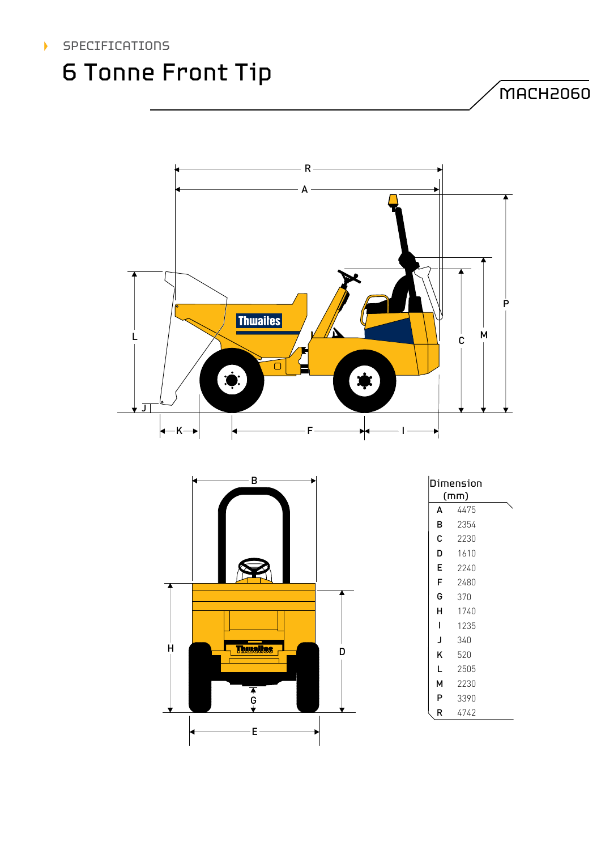

## 6 Tonne Front Tip

MACH2060